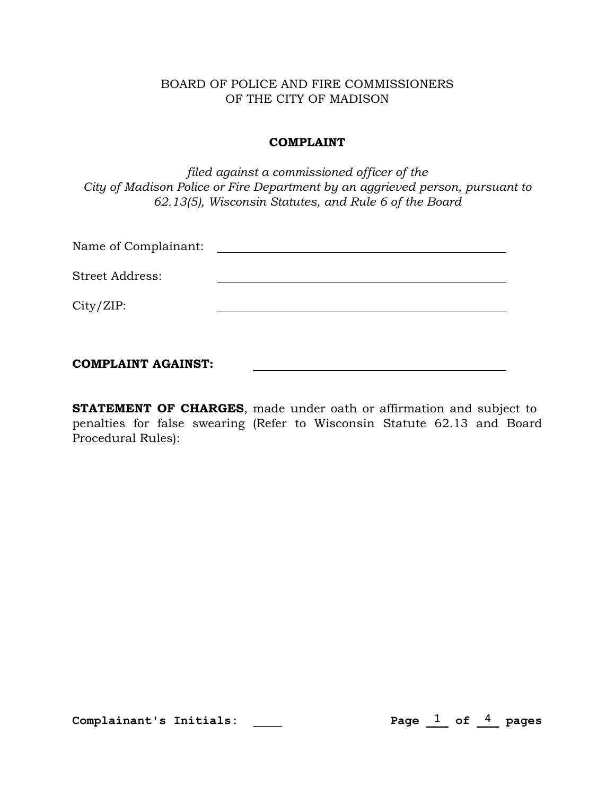## BOARD OF POLICE AND FIRE COMMISSIONERS OF THE CITY OF MADISON

## COMPLAINT

*filed against a commissioned officer of the City of Madison Police or Fire Department by an aggrieved person, pursuant to 62.13(5), Wisconsin Statutes, and Rule 6 of the Board*

| <b>COMPLAINT AGAINST:</b> |  |  |
|---------------------------|--|--|
| City/ZIP:                 |  |  |
| <b>Street Address:</b>    |  |  |
| Name of Complainant:      |  |  |

**STATEMENT OF CHARGES**, made under oath or affirmation and subject to penalties for false swearing (Refer to Wisconsin Statute 62.13 and Board Procedural Rules):

Complainant's Initials: **Page 20** 

Page  $\frac{1}{\sqrt{1}}$  of  $\frac{4}{\sqrt{1}}$  pages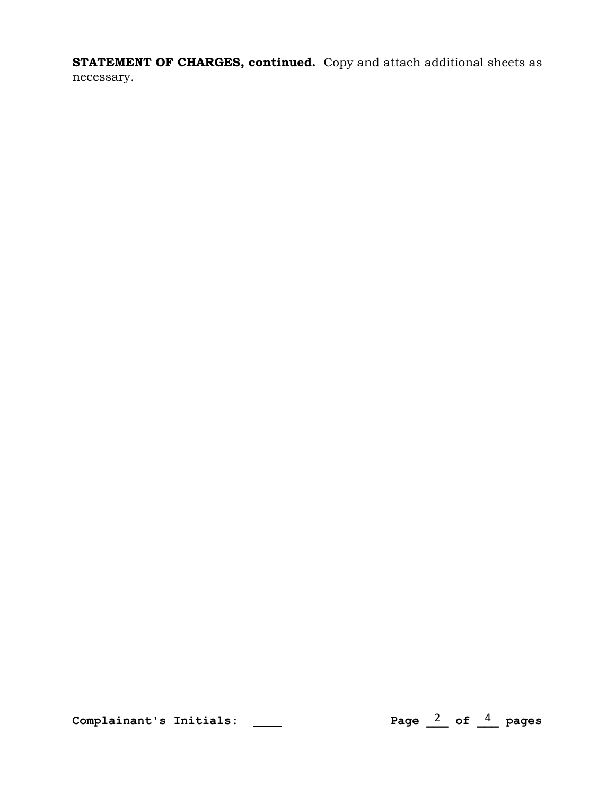STATEMENT OF CHARGES, continued. Copy and attach additional sheets as necessary.

Complainant's Initials: **Page 2013** 

Page  $\frac{2}{\pi}$  of  $\frac{4}{\pi}$  pages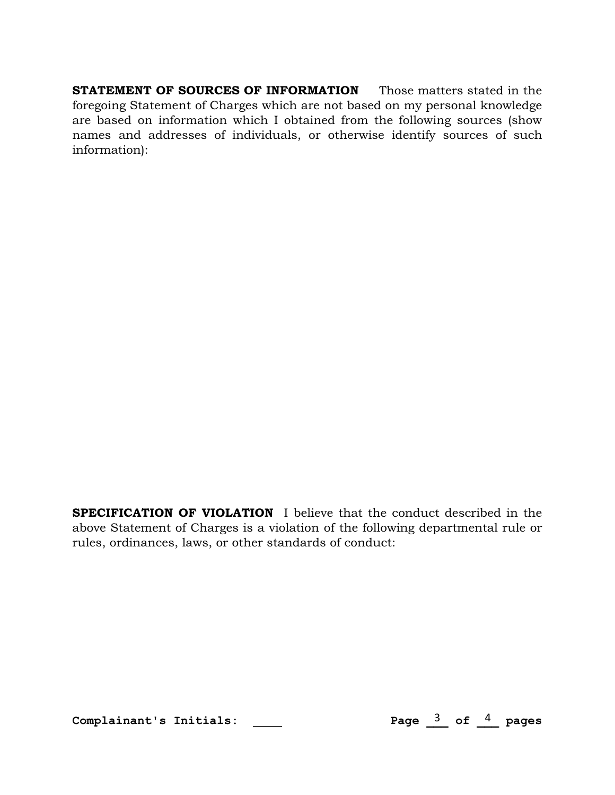STATEMENT OF SOURCES OF INFORMATION Those matters stated in the foregoing Statement of Charges which are not based on my personal knowledge are based on information which I obtained from the following sources (show names and addresses of individuals, or otherwise identify sources of such information):

SPECIFICATION OF VIOLATION I believe that the conduct described in the above Statement of Charges is a violation of the following departmental rule or rules, ordinances, laws, or other standards of conduct:

Complainant's Initials: \_\_\_\_

Page  $\frac{3}{2}$  of  $\frac{4}{2}$  pages